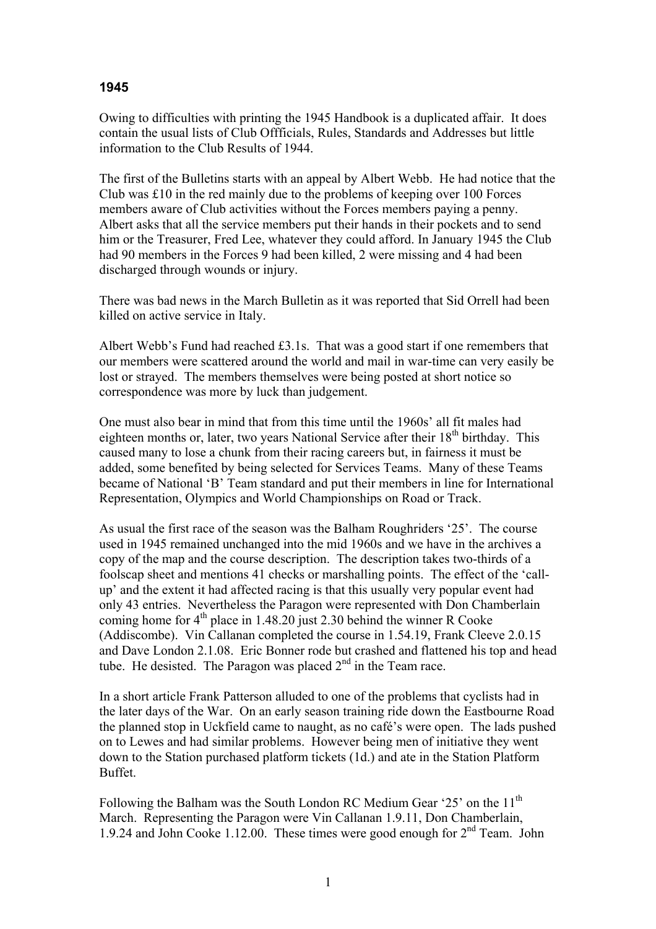## **1945**

Owing to difficulties with printing the 1945 Handbook is a duplicated affair. It does contain the usual lists of Club Offficials, Rules, Standards and Addresses but little information to the Club Results of 1944.

The first of the Bulletins starts with an appeal by Albert Webb. He had notice that the Club was £10 in the red mainly due to the problems of keeping over 100 Forces members aware of Club activities without the Forces members paying a penny. Albert asks that all the service members put their hands in their pockets and to send him or the Treasurer, Fred Lee, whatever they could afford. In January 1945 the Club had 90 members in the Forces 9 had been killed, 2 were missing and 4 had been discharged through wounds or injury.

There was bad news in the March Bulletin as it was reported that Sid Orrell had been killed on active service in Italy.

Albert Webb's Fund had reached £3.1s. That was a good start if one remembers that our members were scattered around the world and mail in war-time can very easily be lost or strayed. The members themselves were being posted at short notice so correspondence was more by luck than judgement.

One must also bear in mind that from this time until the 1960s' all fit males had eighteen months or, later, two years National Service after their 18<sup>th</sup> birthday. This caused many to lose a chunk from their racing careers but, in fairness it must be added, some benefited by being selected for Services Teams. Many of these Teams became of National 'B' Team standard and put their members in line for International Representation, Olympics and World Championships on Road or Track.

As usual the first race of the season was the Balham Roughriders '25'. The course used in 1945 remained unchanged into the mid 1960s and we have in the archives a copy of the map and the course description. The description takes two-thirds of a foolscap sheet and mentions 41 checks or marshalling points. The effect of the 'callup' and the extent it had affected racing is that this usually very popular event had only 43 entries. Nevertheless the Paragon were represented with Don Chamberlain coming home for  $4<sup>th</sup>$  place in 1.48.20 just 2.30 behind the winner R Cooke (Addiscombe). Vin Callanan completed the course in 1.54.19, Frank Cleeve 2.0.15 and Dave London 2.1.08. Eric Bonner rode but crashed and flattened his top and head tube. He desisted. The Paragon was placed  $2<sup>nd</sup>$  in the Team race.

In a short article Frank Patterson alluded to one of the problems that cyclists had in the later days of the War. On an early season training ride down the Eastbourne Road the planned stop in Uckfield came to naught, as no café's were open. The lads pushed on to Lewes and had similar problems. However being men of initiative they went down to the Station purchased platform tickets (1d.) and ate in the Station Platform Buffet.

Following the Balham was the South London RC Medium Gear '25' on the 11<sup>th</sup> March. Representing the Paragon were Vin Callanan 1.9.11, Don Chamberlain, 1.9.24 and John Cooke 1.12.00. These times were good enough for  $2<sup>nd</sup>$  Team. John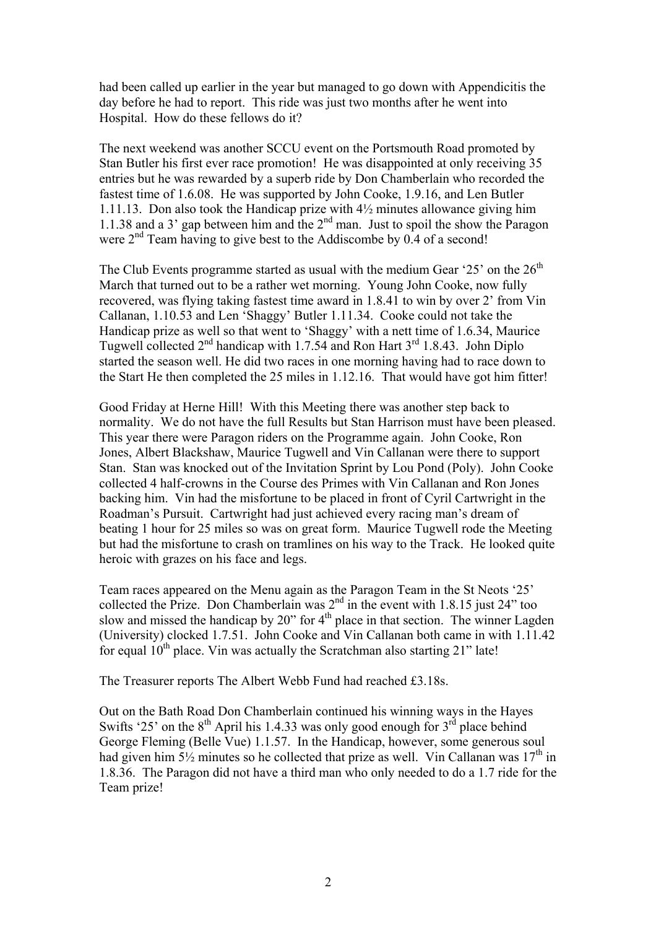had been called up earlier in the year but managed to go down with Appendicitis the day before he had to report. This ride was just two months after he went into Hospital. How do these fellows do it?

The next weekend was another SCCU event on the Portsmouth Road promoted by Stan Butler his first ever race promotion! He was disappointed at only receiving 35 entries but he was rewarded by a superb ride by Don Chamberlain who recorded the fastest time of 1.6.08. He was supported by John Cooke, 1.9.16, and Len Butler 1.11.13. Don also took the Handicap prize with 4½ minutes allowance giving him 1.1.38 and a 3' gap between him and the  $2<sup>nd</sup>$  man. Just to spoil the show the Paragon were  $2<sup>nd</sup>$  Team having to give best to the Addiscombe by 0.4 of a second!

The Club Events programme started as usual with the medium Gear '25' on the  $26<sup>th</sup>$ March that turned out to be a rather wet morning. Young John Cooke, now fully recovered, was flying taking fastest time award in 1.8.41 to win by over 2' from Vin Callanan, 1.10.53 and Len 'Shaggy' Butler 1.11.34. Cooke could not take the Handicap prize as well so that went to 'Shaggy' with a nett time of 1.6.34, Maurice Tugwell collected  $2<sup>nd</sup>$  handicap with 1.7.54 and Ron Hart  $3<sup>rd</sup>$  1.8.43. John Diplo started the season well. He did two races in one morning having had to race down to the Start He then completed the 25 miles in 1.12.16. That would have got him fitter!

Good Friday at Herne Hill! With this Meeting there was another step back to normality. We do not have the full Results but Stan Harrison must have been pleased. This year there were Paragon riders on the Programme again. John Cooke, Ron Jones, Albert Blackshaw, Maurice Tugwell and Vin Callanan were there to support Stan. Stan was knocked out of the Invitation Sprint by Lou Pond (Poly). John Cooke collected 4 half-crowns in the Course des Primes with Vin Callanan and Ron Jones backing him. Vin had the misfortune to be placed in front of Cyril Cartwright in the Roadman's Pursuit. Cartwright had just achieved every racing man's dream of beating 1 hour for 25 miles so was on great form. Maurice Tugwell rode the Meeting but had the misfortune to crash on tramlines on his way to the Track. He looked quite heroic with grazes on his face and legs.

Team races appeared on the Menu again as the Paragon Team in the St Neots '25' collected the Prize. Don Chamberlain was  $2<sup>nd</sup>$  in the event with 1.8.15 just 24" too slow and missed the handicap by 20" for  $4<sup>th</sup>$  place in that section. The winner Lagden (University) clocked 1.7.51. John Cooke and Vin Callanan both came in with 1.11.42 for equal  $10^{th}$  place. Vin was actually the Scratchman also starting 21" late!

The Treasurer reports The Albert Webb Fund had reached £3.18s.

Out on the Bath Road Don Chamberlain continued his winning ways in the Hayes Swifts '25' on the 8<sup>th</sup> April his 1.4.33 was only good enough for  $3^{rd}$  place behind George Fleming (Belle Vue) 1.1.57. In the Handicap, however, some generous soul had given him  $5\frac{1}{2}$  minutes so he collected that prize as well. Vin Callanan was  $17<sup>th</sup>$  in 1.8.36. The Paragon did not have a third man who only needed to do a 1.7 ride for the Team prize!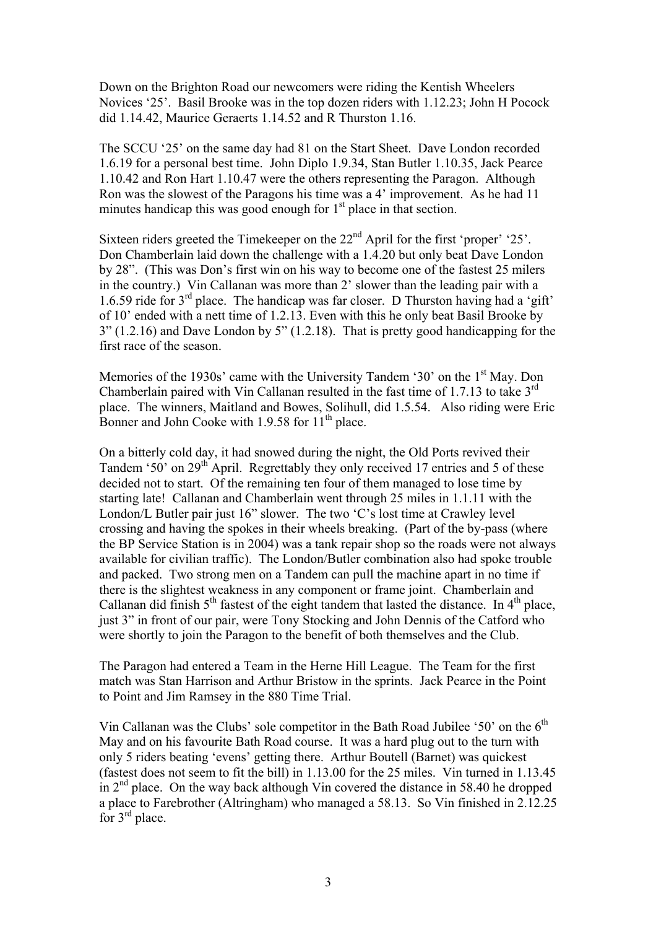Down on the Brighton Road our newcomers were riding the Kentish Wheelers Novices '25'. Basil Brooke was in the top dozen riders with 1.12.23; John H Pocock did 1.14.42, Maurice Geraerts 1.14.52 and R Thurston 1.16.

The SCCU '25' on the same day had 81 on the Start Sheet. Dave London recorded 1.6.19 for a personal best time. John Diplo 1.9.34, Stan Butler 1.10.35, Jack Pearce 1.10.42 and Ron Hart 1.10.47 were the others representing the Paragon. Although Ron was the slowest of the Paragons his time was a 4' improvement. As he had 11 minutes handicap this was good enough for  $1<sup>st</sup>$  place in that section.

Sixteen riders greeted the Timekeeper on the  $22<sup>nd</sup>$  April for the first 'proper' '25'. Don Chamberlain laid down the challenge with a 1.4.20 but only beat Dave London by 28". (This was Don's first win on his way to become one of the fastest 25 milers in the country.) Vin Callanan was more than 2' slower than the leading pair with a 1.6.59 ride for  $3<sup>rd</sup>$  place. The handicap was far closer. D Thurston having had a 'gift' of 10' ended with a nett time of 1.2.13. Even with this he only beat Basil Brooke by 3" (1.2.16) and Dave London by 5" (1.2.18). That is pretty good handicapping for the first race of the season.

Memories of the 1930s' came with the University Tandem '30' on the 1<sup>st</sup> May. Don Chamberlain paired with Vin Callanan resulted in the fast time of 1.7.13 to take 3rd place. The winners, Maitland and Bowes, Solihull, did 1.5.54. Also riding were Eric Bonner and John Cooke with  $1.9.58$  for  $11<sup>th</sup>$  place.

On a bitterly cold day, it had snowed during the night, the Old Ports revived their Tandem '50' on 29<sup>th</sup> April. Regrettably they only received 17 entries and 5 of these decided not to start. Of the remaining ten four of them managed to lose time by starting late! Callanan and Chamberlain went through 25 miles in 1.1.11 with the London/L Butler pair just 16" slower. The two 'C's lost time at Crawley level crossing and having the spokes in their wheels breaking. (Part of the by-pass (where the BP Service Station is in 2004) was a tank repair shop so the roads were not always available for civilian traffic). The London/Butler combination also had spoke trouble and packed. Two strong men on a Tandem can pull the machine apart in no time if there is the slightest weakness in any component or frame joint. Chamberlain and Callanan did finish  $5<sup>th</sup>$  fastest of the eight tandem that lasted the distance. In  $4<sup>th</sup>$  place, just 3" in front of our pair, were Tony Stocking and John Dennis of the Catford who were shortly to join the Paragon to the benefit of both themselves and the Club.

The Paragon had entered a Team in the Herne Hill League. The Team for the first match was Stan Harrison and Arthur Bristow in the sprints. Jack Pearce in the Point to Point and Jim Ramsey in the 880 Time Trial.

Vin Callanan was the Clubs' sole competitor in the Bath Road Jubilee '50' on the  $6<sup>th</sup>$ May and on his favourite Bath Road course. It was a hard plug out to the turn with only 5 riders beating 'evens' getting there. Arthur Boutell (Barnet) was quickest (fastest does not seem to fit the bill) in 1.13.00 for the 25 miles. Vin turned in 1.13.45 in  $2<sup>nd</sup>$  place. On the way back although Vin covered the distance in 58.40 he dropped a place to Farebrother (Altringham) who managed a 58.13. So Vin finished in 2.12.25 for 3rd place.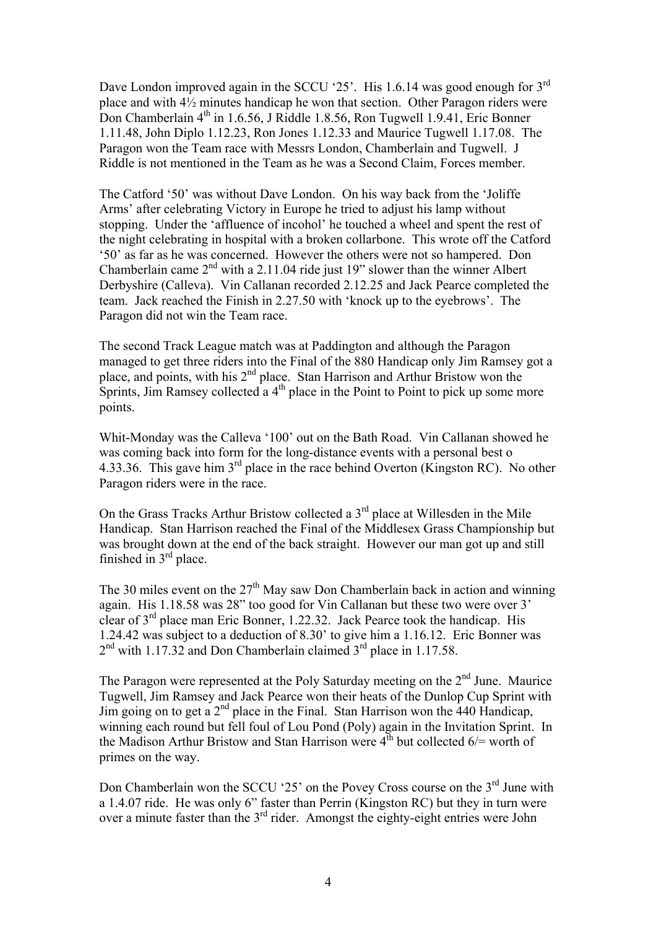Dave London improved again in the SCCU '25'. His 1.6.14 was good enough for 3<sup>rd</sup> place and with 4½ minutes handicap he won that section. Other Paragon riders were Don Chamberlain 4<sup>th</sup> in 1.6.56, J Riddle 1.8.56, Ron Tugwell 1.9.41, Eric Bonner 1.11.48, John Diplo 1.12.23, Ron Jones 1.12.33 and Maurice Tugwell 1.17.08. The Paragon won the Team race with Messrs London, Chamberlain and Tugwell. J Riddle is not mentioned in the Team as he was a Second Claim, Forces member.

The Catford '50' was without Dave London. On his way back from the 'Joliffe Arms' after celebrating Victory in Europe he tried to adjust his lamp without stopping. Under the 'affluence of incohol' he touched a wheel and spent the rest of the night celebrating in hospital with a broken collarbone. This wrote off the Catford '50' as far as he was concerned. However the others were not so hampered. Don Chamberlain came  $2<sup>nd</sup>$  with a 2.11.04 ride just 19" slower than the winner Albert Derbyshire (Calleva). Vin Callanan recorded 2.12.25 and Jack Pearce completed the team. Jack reached the Finish in 2.27.50 with 'knock up to the eyebrows'. The Paragon did not win the Team race.

The second Track League match was at Paddington and although the Paragon managed to get three riders into the Final of the 880 Handicap only Jim Ramsey got a place, and points, with his 2<sup>nd</sup> place. Stan Harrison and Arthur Bristow won the Sprints, Jim Ramsey collected a  $4<sup>th</sup>$  place in the Point to Point to pick up some more points.

Whit-Monday was the Calleva '100' out on the Bath Road. Vin Callanan showed he was coming back into form for the long-distance events with a personal best o 4.33.36. This gave him 3<sup>rd</sup> place in the race behind Overton (Kingston RC). No other Paragon riders were in the race.

On the Grass Tracks Arthur Bristow collected a  $3<sup>rd</sup>$  place at Willesden in the Mile Handicap. Stan Harrison reached the Final of the Middlesex Grass Championship but was brought down at the end of the back straight. However our man got up and still finished in 3rd place.

The 30 miles event on the  $27<sup>th</sup>$  May saw Don Chamberlain back in action and winning again. His 1.18.58 was 28" too good for Vin Callanan but these two were over 3' clear of 3rd place man Eric Bonner, 1.22.32. Jack Pearce took the handicap. His 1.24.42 was subject to a deduction of 8.30' to give him a 1.16.12. Eric Bonner was  $2<sup>nd</sup>$  with 1.17.32 and Don Chamberlain claimed  $3<sup>rd</sup>$  place in 1.17.58.

The Paragon were represented at the Poly Saturday meeting on the  $2<sup>nd</sup>$  June. Maurice Tugwell, Jim Ramsey and Jack Pearce won their heats of the Dunlop Cup Sprint with Jim going on to get a  $2<sup>nd</sup>$  place in the Final. Stan Harrison won the 440 Handicap, winning each round but fell foul of Lou Pond (Poly) again in the Invitation Sprint. In the Madison Arthur Bristow and Stan Harrison were  $4^{\text{th}}$  but collected 6/= worth of primes on the way.

Don Chamberlain won the SCCU '25' on the Povey Cross course on the  $3<sup>rd</sup>$  June with a 1.4.07 ride. He was only 6" faster than Perrin (Kingston RC) but they in turn were over a minute faster than the 3<sup>rd</sup> rider. Amongst the eighty-eight entries were John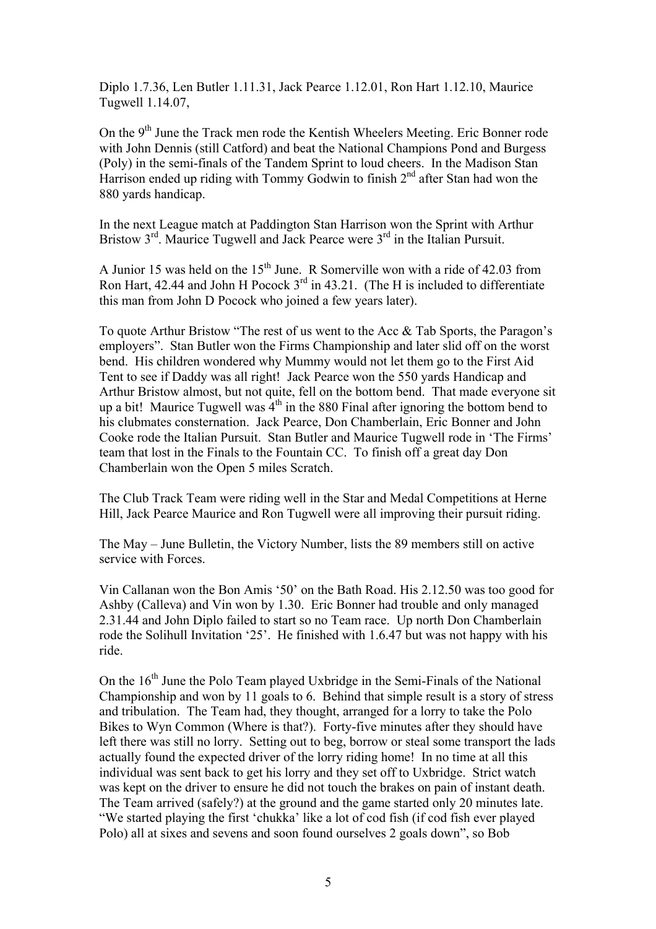Diplo 1.7.36, Len Butler 1.11.31, Jack Pearce 1.12.01, Ron Hart 1.12.10, Maurice Tugwell 1.14.07,

On the 9<sup>th</sup> June the Track men rode the Kentish Wheelers Meeting. Eric Bonner rode with John Dennis (still Catford) and beat the National Champions Pond and Burgess (Poly) in the semi-finals of the Tandem Sprint to loud cheers. In the Madison Stan Harrison ended up riding with Tommy Godwin to finish  $2<sup>nd</sup>$  after Stan had won the 880 yards handicap.

In the next League match at Paddington Stan Harrison won the Sprint with Arthur Bristow 3<sup>rd</sup>. Maurice Tugwell and Jack Pearce were 3<sup>rd</sup> in the Italian Pursuit.

A Junior 15 was held on the  $15<sup>th</sup>$  June. R Somerville won with a ride of 42.03 from Ron Hart, 42.44 and John H Pocock  $3^{rd}$  in 43.21. (The H is included to differentiate this man from John D Pocock who joined a few years later).

To quote Arthur Bristow "The rest of us went to the Acc & Tab Sports, the Paragon's employers". Stan Butler won the Firms Championship and later slid off on the worst bend. His children wondered why Mummy would not let them go to the First Aid Tent to see if Daddy was all right! Jack Pearce won the 550 yards Handicap and Arthur Bristow almost, but not quite, fell on the bottom bend. That made everyone sit up a bit! Maurice Tugwell was  $4<sup>th</sup>$  in the 880 Final after ignoring the bottom bend to his clubmates consternation. Jack Pearce, Don Chamberlain, Eric Bonner and John Cooke rode the Italian Pursuit. Stan Butler and Maurice Tugwell rode in 'The Firms' team that lost in the Finals to the Fountain CC. To finish off a great day Don Chamberlain won the Open 5 miles Scratch.

The Club Track Team were riding well in the Star and Medal Competitions at Herne Hill, Jack Pearce Maurice and Ron Tugwell were all improving their pursuit riding.

The May – June Bulletin, the Victory Number, lists the 89 members still on active service with Forces.

Vin Callanan won the Bon Amis '50' on the Bath Road. His 2.12.50 was too good for Ashby (Calleva) and Vin won by 1.30. Eric Bonner had trouble and only managed 2.31.44 and John Diplo failed to start so no Team race. Up north Don Chamberlain rode the Solihull Invitation '25'. He finished with 1.6.47 but was not happy with his ride.

On the  $16<sup>th</sup>$  June the Polo Team played Uxbridge in the Semi-Finals of the National Championship and won by 11 goals to 6. Behind that simple result is a story of stress and tribulation. The Team had, they thought, arranged for a lorry to take the Polo Bikes to Wyn Common (Where is that?). Forty-five minutes after they should have left there was still no lorry. Setting out to beg, borrow or steal some transport the lads actually found the expected driver of the lorry riding home! In no time at all this individual was sent back to get his lorry and they set off to Uxbridge. Strict watch was kept on the driver to ensure he did not touch the brakes on pain of instant death. The Team arrived (safely?) at the ground and the game started only 20 minutes late. "We started playing the first 'chukka' like a lot of cod fish (if cod fish ever played Polo) all at sixes and sevens and soon found ourselves 2 goals down", so Bob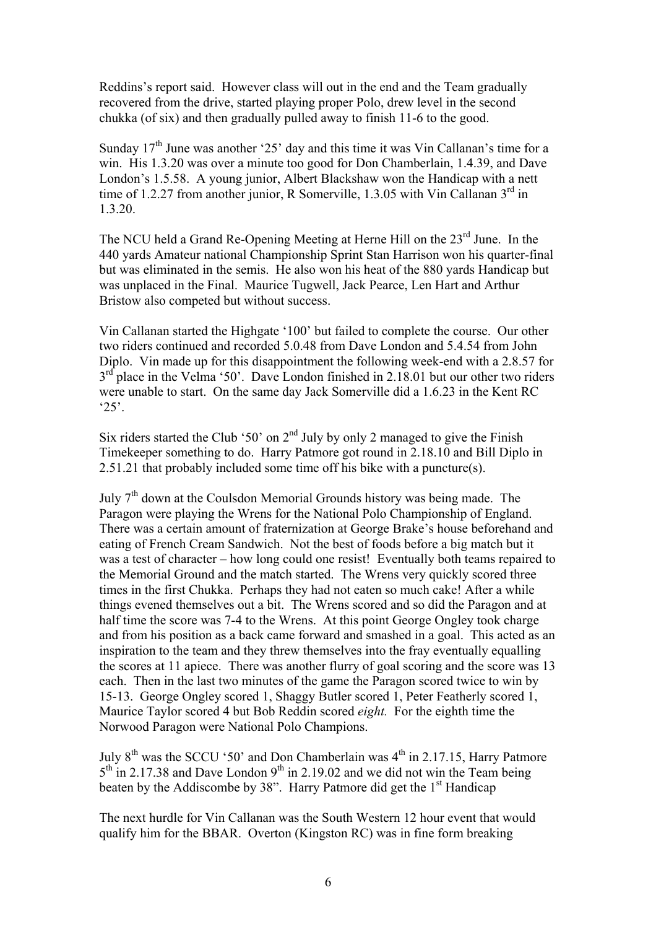Reddins's report said. However class will out in the end and the Team gradually recovered from the drive, started playing proper Polo, drew level in the second chukka (of six) and then gradually pulled away to finish 11-6 to the good.

Sunday  $17<sup>th</sup>$  June was another '25' day and this time it was Vin Callanan's time for a win. His 1.3.20 was over a minute too good for Don Chamberlain, 1.4.39, and Dave London's 1.5.58. A young junior, Albert Blackshaw won the Handicap with a nett time of 1.2.27 from another junior, R Somerville, 1.3.05 with Vin Callanan  $3<sup>rd</sup>$  in 1.3.20.

The NCU held a Grand Re-Opening Meeting at Herne Hill on the  $23<sup>rd</sup>$  June. In the 440 yards Amateur national Championship Sprint Stan Harrison won his quarter-final but was eliminated in the semis. He also won his heat of the 880 yards Handicap but was unplaced in the Final. Maurice Tugwell, Jack Pearce, Len Hart and Arthur Bristow also competed but without success.

Vin Callanan started the Highgate '100' but failed to complete the course. Our other two riders continued and recorded 5.0.48 from Dave London and 5.4.54 from John Diplo. Vin made up for this disappointment the following week-end with a 2.8.57 for  $3<sup>rd</sup>$  place in the Velma '50'. Dave London finished in 2.18.01 but our other two riders were unable to start. On the same day Jack Somerville did a 1.6.23 in the Kent RC  $25$ 

Six riders started the Club '50' on  $2<sup>nd</sup>$  July by only 2 managed to give the Finish Timekeeper something to do. Harry Patmore got round in 2.18.10 and Bill Diplo in 2.51.21 that probably included some time off his bike with a puncture(s).

July 7th down at the Coulsdon Memorial Grounds history was being made. The Paragon were playing the Wrens for the National Polo Championship of England. There was a certain amount of fraternization at George Brake's house beforehand and eating of French Cream Sandwich. Not the best of foods before a big match but it was a test of character – how long could one resist! Eventually both teams repaired to the Memorial Ground and the match started. The Wrens very quickly scored three times in the first Chukka. Perhaps they had not eaten so much cake! After a while things evened themselves out a bit. The Wrens scored and so did the Paragon and at half time the score was 7-4 to the Wrens. At this point George Ongley took charge and from his position as a back came forward and smashed in a goal. This acted as an inspiration to the team and they threw themselves into the fray eventually equalling the scores at 11 apiece. There was another flurry of goal scoring and the score was 13 each. Then in the last two minutes of the game the Paragon scored twice to win by 15-13. George Ongley scored 1, Shaggy Butler scored 1, Peter Featherly scored 1, Maurice Taylor scored 4 but Bob Reddin scored *eight.* For the eighth time the Norwood Paragon were National Polo Champions.

July  $8<sup>th</sup>$  was the SCCU '50' and Don Chamberlain was  $4<sup>th</sup>$  in 2.17.15, Harry Patmore  $5<sup>th</sup>$  in 2.17.38 and Dave London 9<sup>th</sup> in 2.19.02 and we did not win the Team being beaten by the Addiscombe by 38". Harry Patmore did get the  $1<sup>st</sup>$  Handicap

The next hurdle for Vin Callanan was the South Western 12 hour event that would qualify him for the BBAR. Overton (Kingston RC) was in fine form breaking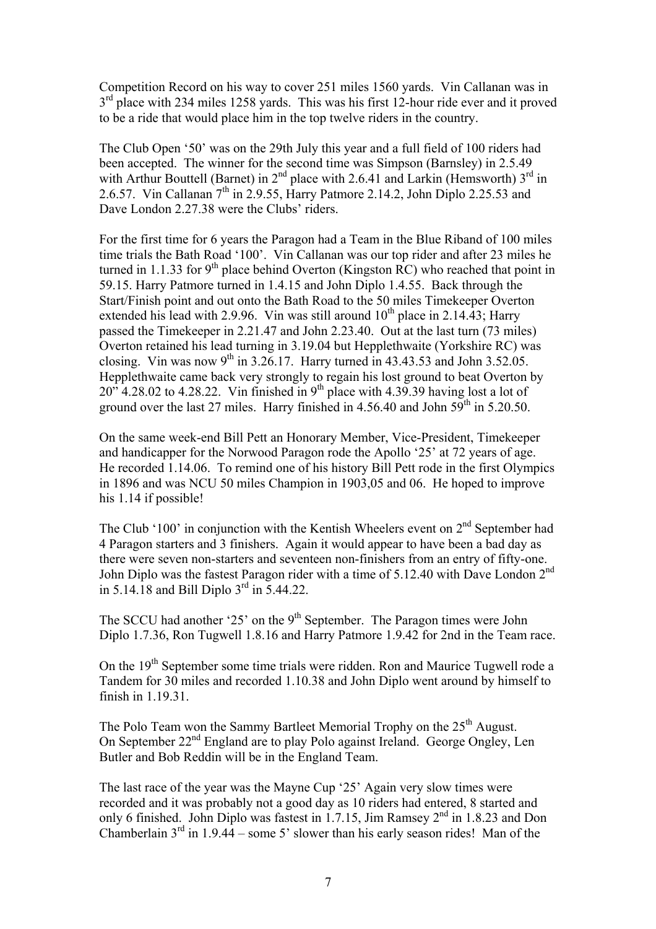Competition Record on his way to cover 251 miles 1560 yards. Vin Callanan was in 3<sup>rd</sup> place with 234 miles 1258 yards. This was his first 12-hour ride ever and it proved to be a ride that would place him in the top twelve riders in the country.

The Club Open '50' was on the 29th July this year and a full field of 100 riders had been accepted. The winner for the second time was Simpson (Barnsley) in 2.5.49 with Arthur Bouttell (Barnet) in  $2<sup>nd</sup>$  place with 2.6.41 and Larkin (Hemsworth)  $3<sup>rd</sup>$  in 2.6.57. Vin Callanan  $7<sup>th</sup>$  in 2.9.55, Harry Patmore 2.14.2, John Diplo 2.25.53 and Dave London 2.27.38 were the Clubs' riders.

For the first time for 6 years the Paragon had a Team in the Blue Riband of 100 miles time trials the Bath Road '100'. Vin Callanan was our top rider and after 23 miles he turned in 1.1.33 for 9<sup>th</sup> place behind Overton (Kingston RC) who reached that point in 59.15. Harry Patmore turned in 1.4.15 and John Diplo 1.4.55. Back through the Start/Finish point and out onto the Bath Road to the 50 miles Timekeeper Overton extended his lead with 2.9.96. Vin was still around  $10^{th}$  place in 2.14.43; Harry passed the Timekeeper in 2.21.47 and John 2.23.40. Out at the last turn (73 miles) Overton retained his lead turning in 3.19.04 but Hepplethwaite (Yorkshire RC) was closing. Vin was now  $9^{th}$  in 3.26.17. Harry turned in 43.43.53 and John 3.52.05. Hepplethwaite came back very strongly to regain his lost ground to beat Overton by  $20''$  4.28.02 to 4.28.22. Vin finished in 9<sup>th</sup> place with 4.39.39 having lost a lot of ground over the last 27 miles. Harry finished in  $4.56.40$  and John  $59<sup>th</sup>$  in  $5.20.50$ .

On the same week-end Bill Pett an Honorary Member, Vice-President, Timekeeper and handicapper for the Norwood Paragon rode the Apollo '25' at 72 years of age. He recorded 1.14.06. To remind one of his history Bill Pett rode in the first Olympics in 1896 and was NCU 50 miles Champion in 1903,05 and 06. He hoped to improve his 1.14 if possible!

The Club '100' in conjunction with the Kentish Wheelers event on  $2<sup>nd</sup>$  September had 4 Paragon starters and 3 finishers. Again it would appear to have been a bad day as there were seven non-starters and seventeen non-finishers from an entry of fifty-one. John Diplo was the fastest Paragon rider with a time of 5.12.40 with Dave London 2nd in 5.14.18 and Bill Diplo  $3^{rd}$  in 5.44.22.

The SCCU had another '25' on the  $9<sup>th</sup>$  September. The Paragon times were John Diplo 1.7.36, Ron Tugwell 1.8.16 and Harry Patmore 1.9.42 for 2nd in the Team race.

On the 19<sup>th</sup> September some time trials were ridden. Ron and Maurice Tugwell rode a Tandem for 30 miles and recorded 1.10.38 and John Diplo went around by himself to finish in 1.19.31.

The Polo Team won the Sammy Bartleet Memorial Trophy on the 25<sup>th</sup> August. On September 22nd England are to play Polo against Ireland. George Ongley, Len Butler and Bob Reddin will be in the England Team.

The last race of the year was the Mayne Cup '25' Again very slow times were recorded and it was probably not a good day as 10 riders had entered, 8 started and only 6 finished. John Diplo was fastest in 1.7.15, Jim Ramsey  $2<sup>nd</sup>$  in 1.8.23 and Don Chamberlain  $3<sup>rd</sup>$  in 1.9.44 – some 5' slower than his early season rides! Man of the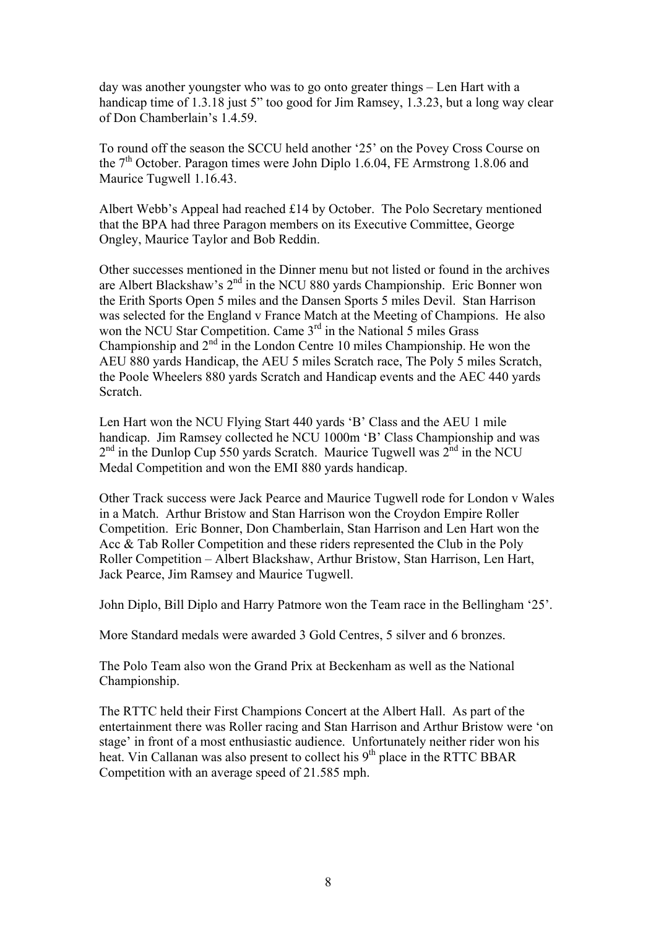day was another youngster who was to go onto greater things – Len Hart with a handicap time of 1.3.18 just 5" too good for Jim Ramsey, 1.3.23, but a long way clear of Don Chamberlain's 1.4.59.

To round off the season the SCCU held another '25' on the Povey Cross Course on the  $7<sup>th</sup>$  October. Paragon times were John Diplo 1.6.04, FE Armstrong 1.8.06 and Maurice Tugwell 1.16.43.

Albert Webb's Appeal had reached £14 by October. The Polo Secretary mentioned that the BPA had three Paragon members on its Executive Committee, George Ongley, Maurice Taylor and Bob Reddin.

Other successes mentioned in the Dinner menu but not listed or found in the archives are Albert Blackshaw's  $2<sup>nd</sup>$  in the NCU 880 yards Championship. Eric Bonner won the Erith Sports Open 5 miles and the Dansen Sports 5 miles Devil. Stan Harrison was selected for the England v France Match at the Meeting of Champions. He also won the NCU Star Competition. Came 3<sup>rd</sup> in the National 5 miles Grass Championship and  $2<sup>nd</sup>$  in the London Centre 10 miles Championship. He won the AEU 880 yards Handicap, the AEU 5 miles Scratch race, The Poly 5 miles Scratch, the Poole Wheelers 880 yards Scratch and Handicap events and the AEC 440 yards Scratch.

Len Hart won the NCU Flying Start 440 yards 'B' Class and the AEU 1 mile handicap. Jim Ramsey collected he NCU 1000m 'B' Class Championship and was  $2<sup>nd</sup>$  in the Dunlop Cup 550 yards Scratch. Maurice Tugwell was  $2<sup>nd</sup>$  in the NCU Medal Competition and won the EMI 880 yards handicap.

Other Track success were Jack Pearce and Maurice Tugwell rode for London v Wales in a Match. Arthur Bristow and Stan Harrison won the Croydon Empire Roller Competition. Eric Bonner, Don Chamberlain, Stan Harrison and Len Hart won the Acc & Tab Roller Competition and these riders represented the Club in the Poly Roller Competition – Albert Blackshaw, Arthur Bristow, Stan Harrison, Len Hart, Jack Pearce, Jim Ramsey and Maurice Tugwell.

John Diplo, Bill Diplo and Harry Patmore won the Team race in the Bellingham '25'.

More Standard medals were awarded 3 Gold Centres, 5 silver and 6 bronzes.

The Polo Team also won the Grand Prix at Beckenham as well as the National Championship.

The RTTC held their First Champions Concert at the Albert Hall. As part of the entertainment there was Roller racing and Stan Harrison and Arthur Bristow were 'on stage' in front of a most enthusiastic audience. Unfortunately neither rider won his heat. Vin Callanan was also present to collect his 9<sup>th</sup> place in the RTTC BBAR Competition with an average speed of 21.585 mph.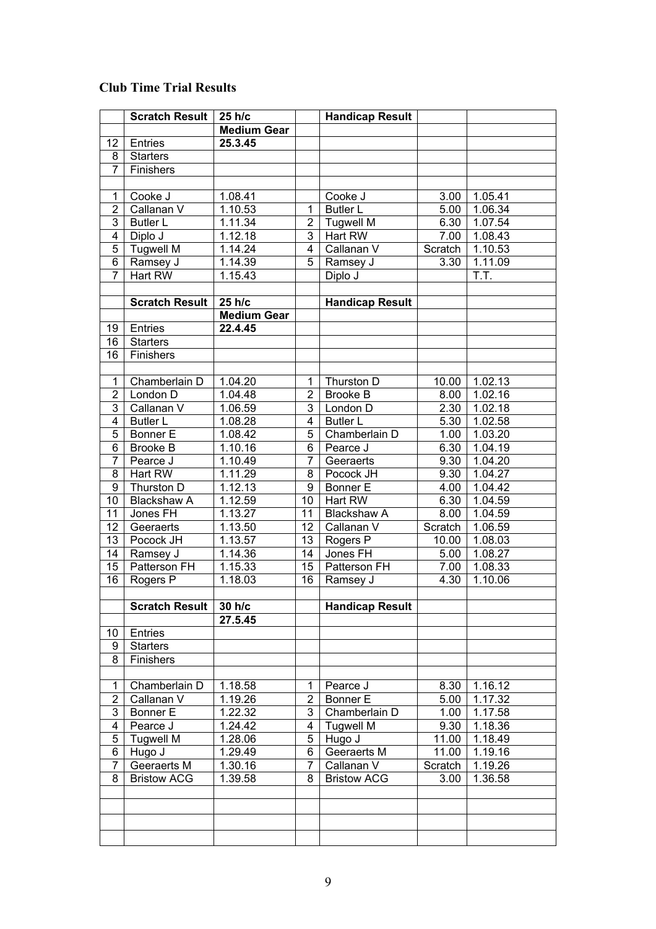## **Club Time Trial Results**

|                         | <b>Scratch Result</b> | 25 h/c             |                         | <b>Handicap Result</b> |         |         |
|-------------------------|-----------------------|--------------------|-------------------------|------------------------|---------|---------|
|                         |                       | <b>Medium Gear</b> |                         |                        |         |         |
| 12                      | Entries               | 25.3.45            |                         |                        |         |         |
| 8                       | <b>Starters</b>       |                    |                         |                        |         |         |
| $\overline{7}$          | Finishers             |                    |                         |                        |         |         |
|                         |                       |                    |                         |                        |         |         |
| 1                       | Cooke J               | 1.08.41            |                         | Cooke J                | 3.00    | 1.05.41 |
| $\overline{2}$          | Callanan V            | 1.10.53            | 1                       | <b>Butler L</b>        | 5.00    | 1.06.34 |
| $\overline{3}$          | <b>Butler L</b>       | 1.11.34            | $\overline{2}$          | <b>Tugwell M</b>       | 6.30    | 1.07.54 |
| $\overline{4}$          | Diplo J               | 1.12.18            | 3                       | Hart RW                | 7.00    | 1.08.43 |
| 5                       | <b>Tugwell M</b>      | 1.14.24            | $\overline{\mathbf{4}}$ | Callanan V             | Scratch | 1.10.53 |
| $\overline{6}$          | Ramsey J              | 1.14.39            | 5                       | Ramsey J               | 3.30    | 1.11.09 |
| $\overline{7}$          | Hart RW               | 1.15.43            |                         | Diplo J                |         | T.T.    |
|                         |                       |                    |                         |                        |         |         |
|                         | <b>Scratch Result</b> | 25 h/c             |                         | <b>Handicap Result</b> |         |         |
|                         |                       | <b>Medium Gear</b> |                         |                        |         |         |
| 19                      | Entries               | 22.4.45            |                         |                        |         |         |
| 16                      | <b>Starters</b>       |                    |                         |                        |         |         |
| 16                      | Finishers             |                    |                         |                        |         |         |
|                         |                       |                    |                         |                        |         |         |
| 1                       | Chamberlain D         | 1.04.20            | 1                       | Thurston D             | 10.00   | 1.02.13 |
| $\overline{2}$          | London D              | 1.04.48            | $\overline{2}$          | <b>Brooke B</b>        | 8.00    | 1.02.16 |
| 3                       | Callanan V            | 1.06.59            | 3                       | London D               | 2.30    | 1.02.18 |
| $\overline{\mathbf{4}}$ | <b>Butler L</b>       | 1.08.28            | 4                       | <b>Butler L</b>        | 5.30    | 1.02.58 |
| 5                       | <b>Bonner E</b>       | 1.08.42            | 5                       | Chamberlain D          | 1.00    | 1.03.20 |
| 6                       | <b>Brooke B</b>       | 1.10.16            | 6                       | Pearce J               | 6.30    | 1.04.19 |
| $\overline{7}$          | Pearce J              | 1.10.49            | 7                       | Geeraerts              | 9.30    | 1.04.20 |
| 8                       | Hart RW               | 1.11.29            | 8                       | Pocock JH              | 9.30    | 1.04.27 |
| 9                       | Thurston D            | 1.12.13            | 9                       | Bonner E               | 4.00    | 1.04.42 |
| 10                      | <b>Blackshaw A</b>    | 1.12.59            | 10                      | Hart RW                | 6.30    | 1.04.59 |
| 11                      | Jones FH              | 1.13.27            | 11                      | <b>Blackshaw A</b>     | 8.00    | 1.04.59 |
| 12                      | Geeraerts             | 1.13.50            | 12                      | Callanan V             | Scratch | 1.06.59 |
| 13                      | Pocock JH             | 1.13.57            | 13                      | Rogers P               | 10.00   | 1.08.03 |
| 14                      | Ramsey J              | 1.14.36            | 14                      | Jones FH               | 5.00    | 1.08.27 |
| 15                      | Patterson FH          | 1.15.33            | 15                      | Patterson FH           | 7.00    | 1.08.33 |
| 16                      | Rogers P              | 1.18.03            | 16                      | Ramsey J               | 4.30    | 1.10.06 |
|                         |                       |                    |                         |                        |         |         |
|                         | <b>Scratch Result</b> | 30 h/c             |                         | <b>Handicap Result</b> |         |         |
|                         |                       | 27.5.45            |                         |                        |         |         |
| 10                      | Entries               |                    |                         |                        |         |         |
| 9                       | <b>Starters</b>       |                    |                         |                        |         |         |
| 8                       | <b>Finishers</b>      |                    |                         |                        |         |         |
|                         |                       |                    |                         |                        |         |         |
| 1                       | Chamberlain D         | 1.18.58            | 1                       | Pearce J               | 8.30    | 1.16.12 |
| $\overline{\mathbf{c}}$ | Callanan V            | 1.19.26            | $\overline{2}$          | Bonner E               | 5.00    | 1.17.32 |
| 3                       | Bonner E              | 1.22.32            | 3                       | Chamberlain D          | 1.00    | 1.17.58 |
| 4                       | Pearce J              | 1.24.42            | 4                       | <b>Tugwell M</b>       | 9.30    | 1.18.36 |
| 5                       | <b>Tugwell M</b>      | 1.28.06            | 5                       | Hugo J                 | 11.00   | 1.18.49 |
| 6                       | Hugo J                | 1.29.49            | 6                       | Geeraerts M            | 11.00   | 1.19.16 |
| 7                       | Geeraerts M           | 1.30.16            | 7                       | Callanan V             | Scratch | 1.19.26 |
| 8                       | <b>Bristow ACG</b>    | 1.39.58            | 8                       | <b>Bristow ACG</b>     | 3.00    | 1.36.58 |
|                         |                       |                    |                         |                        |         |         |
|                         |                       |                    |                         |                        |         |         |
|                         |                       |                    |                         |                        |         |         |
|                         |                       |                    |                         |                        |         |         |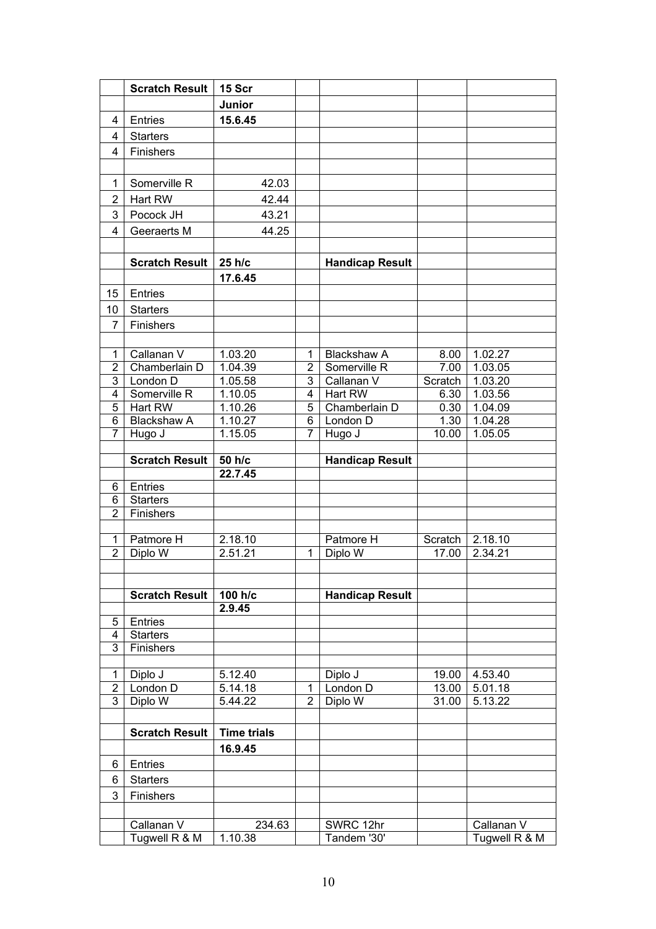|                     | <b>Scratch Result</b>       | 15 Scr             |                      |                                    |              |                    |
|---------------------|-----------------------------|--------------------|----------------------|------------------------------------|--------------|--------------------|
|                     |                             | Junior             |                      |                                    |              |                    |
| 4                   | <b>Entries</b>              | 15.6.45            |                      |                                    |              |                    |
| 4                   | <b>Starters</b>             |                    |                      |                                    |              |                    |
| 4                   | <b>Finishers</b>            |                    |                      |                                    |              |                    |
|                     |                             |                    |                      |                                    |              |                    |
| 1                   | Somerville R                | 42.03              |                      |                                    |              |                    |
| $\overline{2}$      | Hart RW                     | 42.44              |                      |                                    |              |                    |
| 3                   | Pocock JH                   | 43.21              |                      |                                    |              |                    |
| $\overline{4}$      | Geeraerts M                 | 44.25              |                      |                                    |              |                    |
|                     |                             |                    |                      |                                    |              |                    |
|                     | <b>Scratch Result</b>       | 25 h/c             |                      |                                    |              |                    |
|                     |                             | 17.6.45            |                      | <b>Handicap Result</b>             |              |                    |
|                     |                             |                    |                      |                                    |              |                    |
| 15                  | <b>Entries</b>              |                    |                      |                                    |              |                    |
| 10                  | <b>Starters</b>             |                    |                      |                                    |              |                    |
| $\overline{7}$      | <b>Finishers</b>            |                    |                      |                                    |              |                    |
|                     |                             |                    |                      |                                    |              |                    |
| 1<br>$\overline{2}$ | Callanan V<br>Chamberlain D | 1.03.20<br>1.04.39 | 1.<br>$\overline{2}$ | <b>Blackshaw A</b><br>Somerville R | 8.00<br>7.00 | 1.02.27<br>1.03.05 |
| 3                   | London D                    | 1.05.58            | 3                    | Callanan V                         | Scratch      | 1.03.20            |
| 4                   | Somerville R                | 1.10.05            | 4                    | Hart RW                            | 6.30         | 1.03.56            |
| 5                   | Hart RW                     | 1.10.26            | 5                    | Chamberlain D                      | 0.30         | 1.04.09            |
| 6                   | <b>Blackshaw A</b>          | 1.10.27            | 6                    | London D                           | 1.30         | 1.04.28            |
| 7                   | Hugo J                      | 1.15.05            | 7                    | Hugo J                             | 10.00        | 1.05.05            |
|                     |                             |                    |                      |                                    |              |                    |
|                     | <b>Scratch Result</b>       | 50 h/c             |                      | <b>Handicap Result</b>             |              |                    |
|                     |                             | 22.7.45            |                      |                                    |              |                    |
| 6                   | Entries                     |                    |                      |                                    |              |                    |
| 6<br>$\overline{2}$ | <b>Starters</b>             |                    |                      |                                    |              |                    |
|                     | Finishers                   |                    |                      |                                    |              |                    |
| 1                   | Patmore H                   | 2.18.10            |                      | Patmore H                          | Scratch      | 2.18.10            |
| $\overline{2}$      | Diplo W                     | 2.51.21            | 1                    | Diplo W                            | 17.00        | 2.34.21            |
|                     |                             |                    |                      |                                    |              |                    |
|                     |                             |                    |                      |                                    |              |                    |
|                     | <b>Scratch Result</b>       | 100 h/c            |                      | <b>Handicap Result</b>             |              |                    |
|                     |                             | 2.9.45             |                      |                                    |              |                    |
| 5                   | Entries                     |                    |                      |                                    |              |                    |
| 4                   | <b>Starters</b>             |                    |                      |                                    |              |                    |
| 3                   | Finishers                   |                    |                      |                                    |              |                    |
| 1                   | Diplo J                     | 5.12.40            |                      | Diplo J                            | 19.00        | 4.53.40            |
| $\overline{2}$      | London D                    | 5.14.18            | 1                    | London D                           | 13.00        | 5.01.18            |
| 3                   | Diplo W                     | 5.44.22            | $\overline{2}$       | Diplo W                            | 31.00        | 5.13.22            |
|                     |                             |                    |                      |                                    |              |                    |
|                     | <b>Scratch Result</b>       | <b>Time trials</b> |                      |                                    |              |                    |
|                     |                             | 16.9.45            |                      |                                    |              |                    |
| 6                   | <b>Entries</b>              |                    |                      |                                    |              |                    |
| 6                   | <b>Starters</b>             |                    |                      |                                    |              |                    |
| $\mathbf{3}$        | Finishers                   |                    |                      |                                    |              |                    |
|                     |                             |                    |                      |                                    |              |                    |
|                     | Callanan V                  | 234.63             |                      | SWRC 12hr                          |              | Callanan V         |
|                     | Tugwell R & M               | 1.10.38            |                      | Tandem '30'                        |              | Tugwell R & M      |
|                     |                             |                    |                      |                                    |              |                    |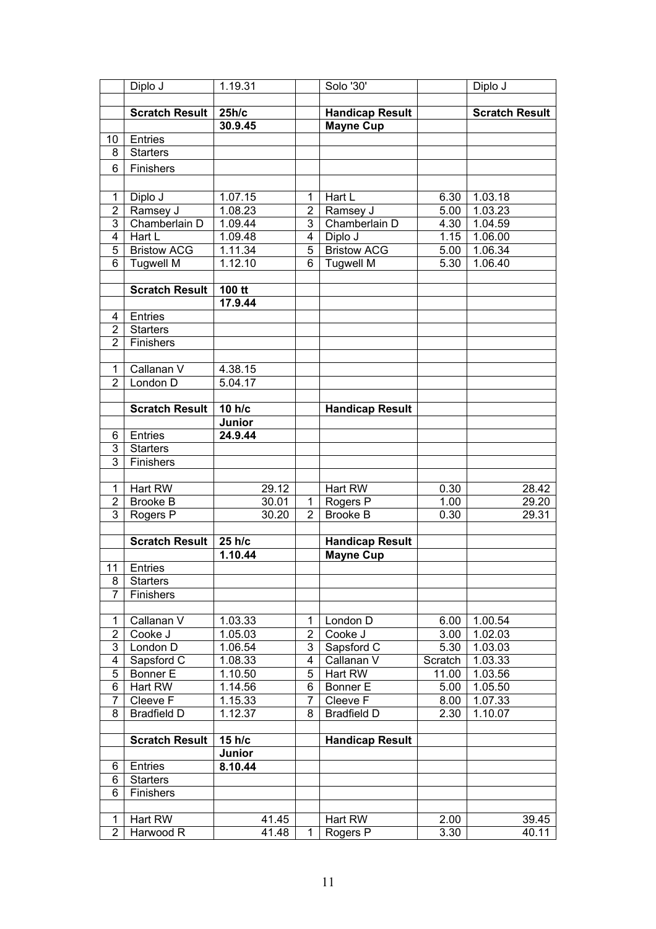|                | Diplo J               | 1.19.31 |                | Solo '30'              |         | Diplo J               |
|----------------|-----------------------|---------|----------------|------------------------|---------|-----------------------|
|                |                       |         |                |                        |         |                       |
|                | <b>Scratch Result</b> | 25h/c   |                | <b>Handicap Result</b> |         | <b>Scratch Result</b> |
|                |                       | 30.9.45 |                | <b>Mayne Cup</b>       |         |                       |
| 10             | Entries               |         |                |                        |         |                       |
| 8              | <b>Starters</b>       |         |                |                        |         |                       |
| 6              |                       |         |                |                        |         |                       |
|                | Finishers             |         |                |                        |         |                       |
|                |                       |         |                |                        |         |                       |
| 1              | Diplo J               | 1.07.15 | 1              | Hart L                 | 6.30    | 1.03.18               |
| $\overline{2}$ | Ramsey J              | 1.08.23 | $\overline{2}$ | Ramsey J               | 5.00    | 1.03.23               |
| 3              | Chamberlain D         | 1.09.44 | 3              | Chamberlain D          | 4.30    | 1.04.59               |
| 4              | Hart L                | 1.09.48 | $\overline{4}$ | Diplo J                | 1.15    | 1.06.00               |
| 5              | <b>Bristow ACG</b>    | 1.11.34 | 5              | <b>Bristow ACG</b>     | 5.00    | 1.06.34               |
| 6              | <b>Tugwell M</b>      | 1.12.10 | 6              | <b>Tugwell M</b>       | 5.30    | 1.06.40               |
|                |                       |         |                |                        |         |                       |
|                | <b>Scratch Result</b> | 100 tt  |                |                        |         |                       |
|                |                       | 17.9.44 |                |                        |         |                       |
| 4              | <b>Entries</b>        |         |                |                        |         |                       |
| $\overline{2}$ | <b>Starters</b>       |         |                |                        |         |                       |
| $\overline{2}$ | Finishers             |         |                |                        |         |                       |
|                |                       |         |                |                        |         |                       |
| 1              | Callanan V            | 4.38.15 |                |                        |         |                       |
| $\overline{2}$ | London D              | 5.04.17 |                |                        |         |                       |
|                |                       |         |                |                        |         |                       |
|                | <b>Scratch Result</b> | 10 h/c  |                | <b>Handicap Result</b> |         |                       |
|                |                       | Junior  |                |                        |         |                       |
| 6              | <b>Entries</b>        | 24.9.44 |                |                        |         |                       |
| 3              | <b>Starters</b>       |         |                |                        |         |                       |
| 3              | Finishers             |         |                |                        |         |                       |
|                |                       |         |                |                        |         |                       |
| 1              | Hart RW               | 29.12   |                | <b>Hart RW</b>         | 0.30    | 28.42                 |
| $\overline{2}$ | <b>Brooke B</b>       | 30.01   | $\mathbf{1}$   | Rogers P               | 1.00    | 29.20                 |
| 3              | Rogers P              | 30.20   | $\overline{2}$ | <b>Brooke B</b>        | 0.30    | 29.31                 |
|                |                       |         |                |                        |         |                       |
|                | <b>Scratch Result</b> | 25 h/c  |                | <b>Handicap Result</b> |         |                       |
|                |                       | 1.10.44 |                | <b>Mayne Cup</b>       |         |                       |
| 11             | <b>Entries</b>        |         |                |                        |         |                       |
| 8              | <b>Starters</b>       |         |                |                        |         |                       |
| 7              | Finishers             |         |                |                        |         |                       |
|                |                       |         |                |                        |         |                       |
| 1              | Callanan V            | 1.03.33 | 1              | London D               | 6.00    | 1.00.54               |
| $\overline{2}$ | Cooke J               | 1.05.03 | $\overline{2}$ | Cooke J                | 3.00    | 1.02.03               |
| 3              | London D              | 1.06.54 | 3              | Sapsford C             | 5.30    | 1.03.03               |
| 4              | Sapsford C            | 1.08.33 | 4              | Callanan V             | Scratch | 1.03.33               |
| 5              | Bonner E              | 1.10.50 | 5              | Hart RW                | 11.00   | 1.03.56               |
| 6              | Hart RW               | 1.14.56 | 6              | Bonner E               | 5.00    | 1.05.50               |
| 7              | Cleeve F              | 1.15.33 | 7              | Cleeve F               | 8.00    | 1.07.33               |
| 8              | <b>Bradfield D</b>    | 1.12.37 | 8              | <b>Bradfield D</b>     | 2.30    | 1.10.07               |
|                |                       |         |                |                        |         |                       |
|                | <b>Scratch Result</b> | 15 h/c  |                | <b>Handicap Result</b> |         |                       |
|                |                       | Junior  |                |                        |         |                       |
| 6              | <b>Entries</b>        | 8.10.44 |                |                        |         |                       |
| 6              | <b>Starters</b>       |         |                |                        |         |                       |
| 6              | <b>Finishers</b>      |         |                |                        |         |                       |
|                |                       |         |                |                        |         |                       |
| 1              | Hart RW               | 41.45   |                | Hart RW                | 2.00    | 39.45                 |
| $\overline{2}$ | Harwood R             | 41.48   | $\mathbf{1}$   | Rogers P               | 3.30    | 40.11                 |
|                |                       |         |                |                        |         |                       |